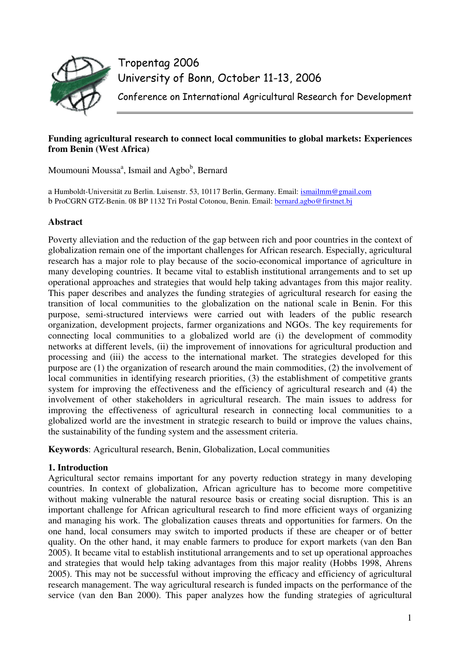

Tropentag 2006 University of Bonn, October 11-13, 2006

Conference on International Agricultural Research for Development

# **Funding agricultural research to connect local communities to global markets: Experiences from Benin (West Africa)**

Moumouni Moussa<sup>a</sup>, Ismail and Agbo<sup>b</sup>, Bernard

a Humboldt-Universität zu Berlin. Luisenstr. 53, 10117 Berlin, Germany. Email: ismailmm@gmail.com b ProCGRN GTZ-Benin. 08 BP 1132 Tri Postal Cotonou, Benin. Email: bernard.agbo@firstnet.bj

# **Abstract**

Poverty alleviation and the reduction of the gap between rich and poor countries in the context of globalization remain one of the important challenges for African research. Especially, agricultural research has a major role to play because of the socio-economical importance of agriculture in many developing countries. It became vital to establish institutional arrangements and to set up operational approaches and strategies that would help taking advantages from this major reality. This paper describes and analyzes the funding strategies of agricultural research for easing the transition of local communities to the globalization on the national scale in Benin. For this purpose, semi-structured interviews were carried out with leaders of the public research organization, development projects, farmer organizations and NGOs. The key requirements for connecting local communities to a globalized world are (i) the development of commodity networks at different levels, (ii) the improvement of innovations for agricultural production and processing and (iii) the access to the international market. The strategies developed for this purpose are (1) the organization of research around the main commodities, (2) the involvement of local communities in identifying research priorities, (3) the establishment of competitive grants system for improving the effectiveness and the efficiency of agricultural research and (4) the involvement of other stakeholders in agricultural research. The main issues to address for improving the effectiveness of agricultural research in connecting local communities to a globalized world are the investment in strategic research to build or improve the values chains, the sustainability of the funding system and the assessment criteria.

**Keywords**: Agricultural research, Benin, Globalization, Local communities

# **1. Introduction**

Agricultural sector remains important for any poverty reduction strategy in many developing countries. In context of globalization, African agriculture has to become more competitive without making vulnerable the natural resource basis or creating social disruption. This is an important challenge for African agricultural research to find more efficient ways of organizing and managing his work. The globalization causes threats and opportunities for farmers. On the one hand, local consumers may switch to imported products if these are cheaper or of better quality. On the other hand, it may enable farmers to produce for export markets (van den Ban 2005). It became vital to establish institutional arrangements and to set up operational approaches and strategies that would help taking advantages from this major reality (Hobbs 1998, Ahrens 2005). This may not be successful without improving the efficacy and efficiency of agricultural research management. The way agricultural research is funded impacts on the performance of the service (van den Ban 2000). This paper analyzes how the funding strategies of agricultural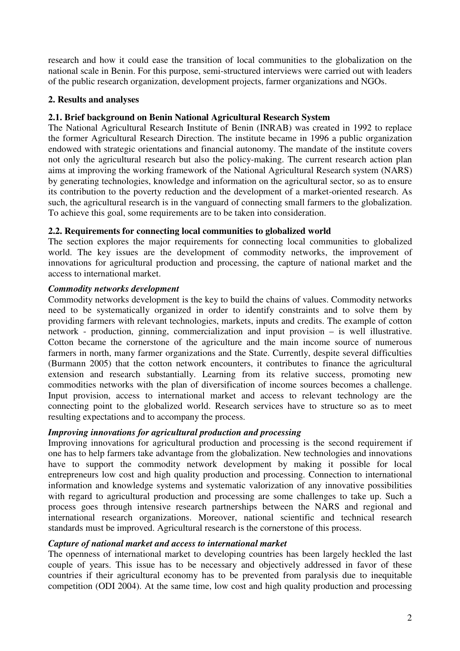research and how it could ease the transition of local communities to the globalization on the national scale in Benin. For this purpose, semi-structured interviews were carried out with leaders of the public research organization, development projects, farmer organizations and NGOs.

# **2. Results and analyses**

## **2.1. Brief background on Benin National Agricultural Research System**

The National Agricultural Research Institute of Benin (INRAB) was created in 1992 to replace the former Agricultural Research Direction. The institute became in 1996 a public organization endowed with strategic orientations and financial autonomy. The mandate of the institute covers not only the agricultural research but also the policy-making. The current research action plan aims at improving the working framework of the National Agricultural Research system (NARS) by generating technologies, knowledge and information on the agricultural sector, so as to ensure its contribution to the poverty reduction and the development of a market-oriented research. As such, the agricultural research is in the vanguard of connecting small farmers to the globalization. To achieve this goal, some requirements are to be taken into consideration.

## **2.2. Requirements for connecting local communities to globalized world**

The section explores the major requirements for connecting local communities to globalized world. The key issues are the development of commodity networks, the improvement of innovations for agricultural production and processing, the capture of national market and the access to international market.

## *Commodity networks development*

Commodity networks development is the key to build the chains of values. Commodity networks need to be systematically organized in order to identify constraints and to solve them by providing farmers with relevant technologies, markets, inputs and credits. The example of cotton network - production, ginning, commercialization and input provision – is well illustrative. Cotton became the cornerstone of the agriculture and the main income source of numerous farmers in north, many farmer organizations and the State. Currently, despite several difficulties (Burmann 2005) that the cotton network encounters, it contributes to finance the agricultural extension and research substantially. Learning from its relative success, promoting new commodities networks with the plan of diversification of income sources becomes a challenge. Input provision, access to international market and access to relevant technology are the connecting point to the globalized world. Research services have to structure so as to meet resulting expectations and to accompany the process.

### *Improving innovations for agricultural production and processing*

Improving innovations for agricultural production and processing is the second requirement if one has to help farmers take advantage from the globalization. New technologies and innovations have to support the commodity network development by making it possible for local entrepreneurs low cost and high quality production and processing. Connection to international information and knowledge systems and systematic valorization of any innovative possibilities with regard to agricultural production and processing are some challenges to take up. Such a process goes through intensive research partnerships between the NARS and regional and international research organizations. Moreover, national scientific and technical research standards must be improved. Agricultural research is the cornerstone of this process.

### *Capture of national market and access to international market*

The openness of international market to developing countries has been largely heckled the last couple of years. This issue has to be necessary and objectively addressed in favor of these countries if their agricultural economy has to be prevented from paralysis due to inequitable competition (ODI 2004). At the same time, low cost and high quality production and processing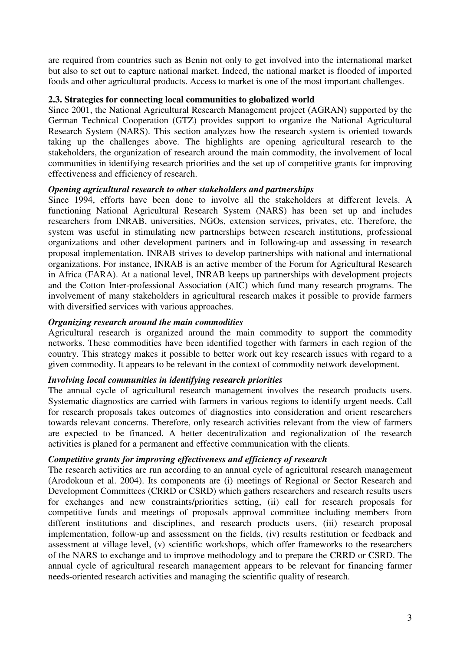are required from countries such as Benin not only to get involved into the international market but also to set out to capture national market. Indeed, the national market is flooded of imported foods and other agricultural products. Access to market is one of the most important challenges.

## **2.3. Strategies for connecting local communities to globalized world**

Since 2001, the National Agricultural Research Management project (AGRAN) supported by the German Technical Cooperation (GTZ) provides support to organize the National Agricultural Research System (NARS). This section analyzes how the research system is oriented towards taking up the challenges above. The highlights are opening agricultural research to the stakeholders, the organization of research around the main commodity, the involvement of local communities in identifying research priorities and the set up of competitive grants for improving effectiveness and efficiency of research.

## *Opening agricultural research to other stakeholders and partnerships*

Since 1994, efforts have been done to involve all the stakeholders at different levels. A functioning National Agricultural Research System (NARS) has been set up and includes researchers from INRAB, universities, NGOs, extension services, privates, etc. Therefore, the system was useful in stimulating new partnerships between research institutions, professional organizations and other development partners and in following-up and assessing in research proposal implementation. INRAB strives to develop partnerships with national and international organizations. For instance, INRAB is an active member of the Forum for Agricultural Research in Africa (FARA). At a national level, INRAB keeps up partnerships with development projects and the Cotton Inter-professional Association (AIC) which fund many research programs. The involvement of many stakeholders in agricultural research makes it possible to provide farmers with diversified services with various approaches.

## *Organizing research around the main commodities*

Agricultural research is organized around the main commodity to support the commodity networks. These commodities have been identified together with farmers in each region of the country. This strategy makes it possible to better work out key research issues with regard to a given commodity. It appears to be relevant in the context of commodity network development.

# *Involving local communities in identifying research priorities*

The annual cycle of agricultural research management involves the research products users. Systematic diagnostics are carried with farmers in various regions to identify urgent needs. Call for research proposals takes outcomes of diagnostics into consideration and orient researchers towards relevant concerns. Therefore, only research activities relevant from the view of farmers are expected to be financed. A better decentralization and regionalization of the research activities is planed for a permanent and effective communication with the clients.

# *Competitive grants for improving effectiveness and efficiency of research*

The research activities are run according to an annual cycle of agricultural research management (Arodokoun et al. 2004). Its components are (i) meetings of Regional or Sector Research and Development Committees (CRRD or CSRD) which gathers researchers and research results users for exchanges and new constraints/priorities setting, (ii) call for research proposals for competitive funds and meetings of proposals approval committee including members from different institutions and disciplines, and research products users, (iii) research proposal implementation, follow-up and assessment on the fields, (iv) results restitution or feedback and assessment at village level, (v) scientific workshops, which offer frameworks to the researchers of the NARS to exchange and to improve methodology and to prepare the CRRD or CSRD. The annual cycle of agricultural research management appears to be relevant for financing farmer needs-oriented research activities and managing the scientific quality of research.